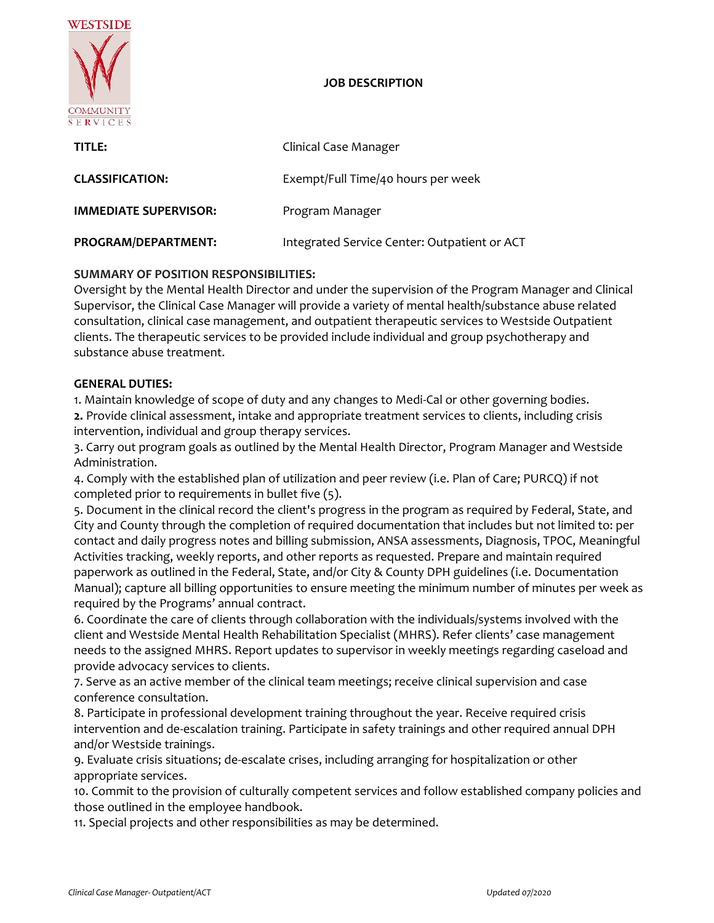

## **JOB DESCRIPTION**

| TITLE:                       | Clinical Case Manager                        |
|------------------------------|----------------------------------------------|
| <b>CLASSIFICATION:</b>       | Exempt/Full Time/40 hours per week           |
| <b>IMMEDIATE SUPERVISOR:</b> | Program Manager                              |
| PROGRAM/DEPARTMENT:          | Integrated Service Center: Outpatient or ACT |

# **SUMMARY OF POSITION RESPONSIBILITIES:**

Oversight by the Mental Health Director and under the supervision of the Program Manager and Clinical Supervisor, the Clinical Case Manager will provide a variety of mental health/substance abuse related consultation, clinical case management, and outpatient therapeutic services to Westside Outpatient clients. The therapeutic services to be provided include individual and group psychotherapy and substance abuse treatment.

### **GENERAL DUTIES:**

1. Maintain knowledge of scope of duty and any changes to Medi-Cal or other governing bodies.

**2.** Provide clinical assessment, intake and appropriate treatment services to clients, including crisis intervention, individual and group therapy services.

3. Carry out program goals as outlined by the Mental Health Director, Program Manager and Westside Administration.

4. Comply with the established plan of utilization and peer review (i.e. Plan of Care; PURCQ) if not completed prior to requirements in bullet five (5).

5. Document in the clinical record the client's progress in the program as required by Federal, State, and City and County through the completion of required documentation that includes but not limited to: per contact and daily progress notes and billing submission, ANSA assessments, Diagnosis, TPOC, Meaningful Activities tracking, weekly reports, and other reports as requested. Prepare and maintain required paperwork as outlined in the Federal, State, and/or City & County DPH guidelines (i.e. Documentation Manual); capture all billing opportunities to ensure meeting the minimum number of minutes per week as required by the Programs' annual contract.

6. Coordinate the care of clients through collaboration with the individuals/systems involved with the client and Westside Mental Health Rehabilitation Specialist (MHRS). Refer clients' case management needs to the assigned MHRS. Report updates to supervisor in weekly meetings regarding caseload and provide advocacy services to clients.

7. Serve as an active member of the clinical team meetings; receive clinical supervision and case conference consultation.

8. Participate in professional development training throughout the year. Receive required crisis intervention and de-escalation training. Participate in safety trainings and other required annual DPH and/or Westside trainings.

9. Evaluate crisis situations; de-escalate crises, including arranging for hospitalization or other appropriate services.

10. Commit to the provision of culturally competent services and follow established company policies and those outlined in the employee handbook.

11. Special projects and other responsibilities as may be determined.